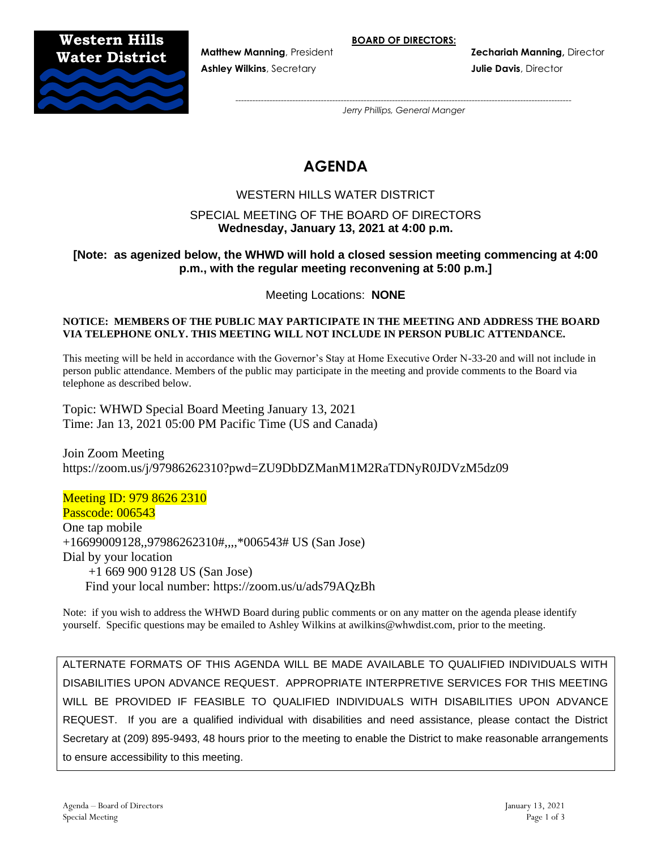## **Western Hills Water District**



**Ashley Wilkins**, Secretary **Julie Davis**, Director

**Matthew Manning**, President **Zechariah Manning,** Director

*---------------------------------------------------------------------------------------------------------------------- Jerry Phillips, General Manger*

# **AGENDA**

## WESTERN HILLS WATER DISTRICT

## SPECIAL MEETING OF THE BOARD OF DIRECTORS **Wednesday, January 13, 2021 at 4:00 p.m.**

## **[Note: as agenized below, the WHWD will hold a closed session meeting commencing at 4:00 p.m., with the regular meeting reconvening at 5:00 p.m.]**

Meeting Locations: **NONE**

#### **NOTICE: MEMBERS OF THE PUBLIC MAY PARTICIPATE IN THE MEETING AND ADDRESS THE BOARD VIA TELEPHONE ONLY. THIS MEETING WILL NOT INCLUDE IN PERSON PUBLIC ATTENDANCE.**

This meeting will be held in accordance with the Governor's Stay at Home Executive Order N-33-20 and will not include in person public attendance. Members of the public may participate in the meeting and provide comments to the Board via telephone as described below.

Topic: WHWD Special Board Meeting January 13, 2021 Time: Jan 13, 2021 05:00 PM Pacific Time (US and Canada)

Join Zoom Meeting https://zoom.us/j/97986262310?pwd=ZU9DbDZManM1M2RaTDNyR0JDVzM5dz09

Meeting ID: 979 8626 2310 Passcode: 006543 One tap mobile +16699009128,,97986262310#,,,,\*006543# US (San Jose) Dial by your location +1 669 900 9128 US (San Jose) Find your local number: https://zoom.us/u/ads79AQzBh

Note: if you wish to address the WHWD Board during public comments or on any matter on the agenda please identify yourself. Specific questions may be emailed to Ashley Wilkins at awilkins@whwdist.com, prior to the meeting.

ALTERNATE FORMATS OF THIS AGENDA WILL BE MADE AVAILABLE TO QUALIFIED INDIVIDUALS WITH DISABILITIES UPON ADVANCE REQUEST. APPROPRIATE INTERPRETIVE SERVICES FOR THIS MEETING WILL BE PROVIDED IF FEASIBLE TO QUALIFIED INDIVIDUALS WITH DISABILITIES UPON ADVANCE REQUEST. If you are a qualified individual with disabilities and need assistance, please contact the District Secretary at (209) 895-9493, 48 hours prior to the meeting to enable the District to make reasonable arrangements to ensure accessibility to this meeting.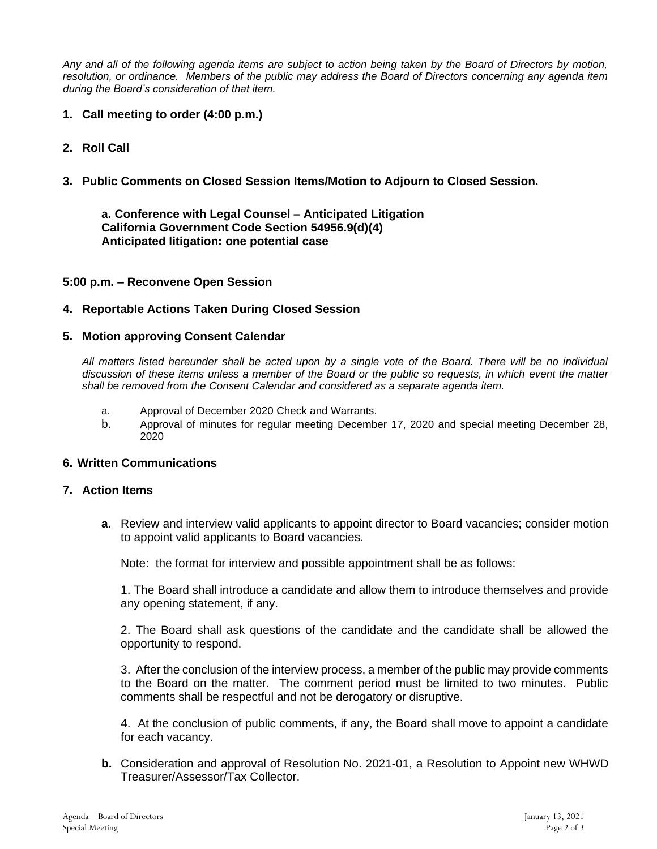*Any and all of the following agenda items are subject to action being taken by the Board of Directors by motion, resolution, or ordinance. Members of the public may address the Board of Directors concerning any agenda item during the Board's consideration of that item.*

- **1. Call meeting to order (4:00 p.m.)**
- **2. Roll Call**
- **3. Public Comments on Closed Session Items/Motion to Adjourn to Closed Session.**

**a. Conference with Legal Counsel – Anticipated Litigation California Government Code Section 54956.9(d)(4) Anticipated litigation: one potential case**

## **5:00 p.m. – Reconvene Open Session**

## **4. Reportable Actions Taken During Closed Session**

#### **5. Motion approving Consent Calendar**

*All matters listed hereunder shall be acted upon by a single vote of the Board. There will be no individual discussion of these items unless a member of the Board or the public so requests, in which event the matter shall be removed from the Consent Calendar and considered as a separate agenda item.*

- a. Approval of December 2020 Check and Warrants.
- b. Approval of minutes for regular meeting December 17, 2020 and special meeting December 28, 2020

#### **6. Written Communications**

#### **7. Action Items**

**a.** Review and interview valid applicants to appoint director to Board vacancies; consider motion to appoint valid applicants to Board vacancies.

Note: the format for interview and possible appointment shall be as follows:

1. The Board shall introduce a candidate and allow them to introduce themselves and provide any opening statement, if any.

2. The Board shall ask questions of the candidate and the candidate shall be allowed the opportunity to respond.

3. After the conclusion of the interview process, a member of the public may provide comments to the Board on the matter. The comment period must be limited to two minutes. Public comments shall be respectful and not be derogatory or disruptive.

4. At the conclusion of public comments, if any, the Board shall move to appoint a candidate for each vacancy.

**b.** Consideration and approval of Resolution No. 2021-01, a Resolution to Appoint new WHWD Treasurer/Assessor/Tax Collector.